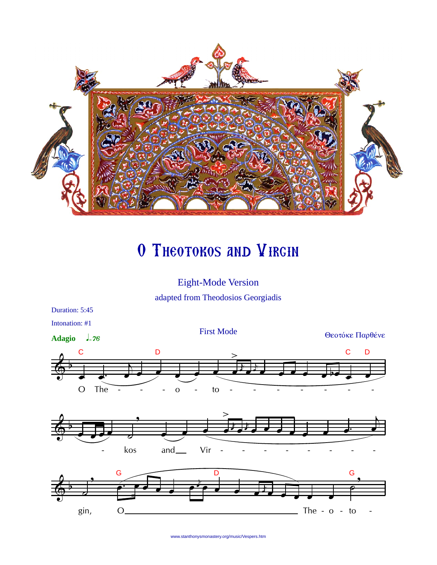

## O THEOTOKOS AND VIRGIN

Eight-Mode Version adapted from Theodosios Georgiadis



www.stanthonysmonastery.org/music/Vespers.htm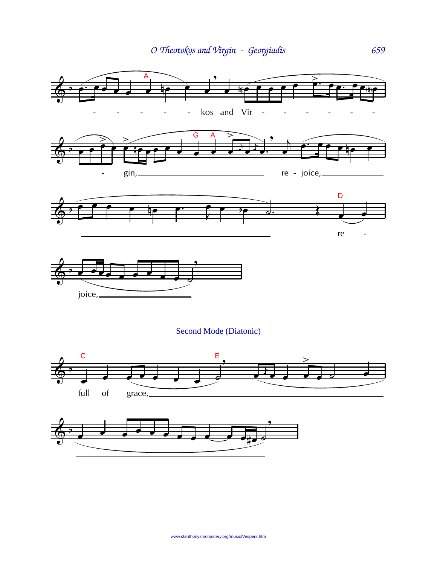

## Second Mode (Diatonic)



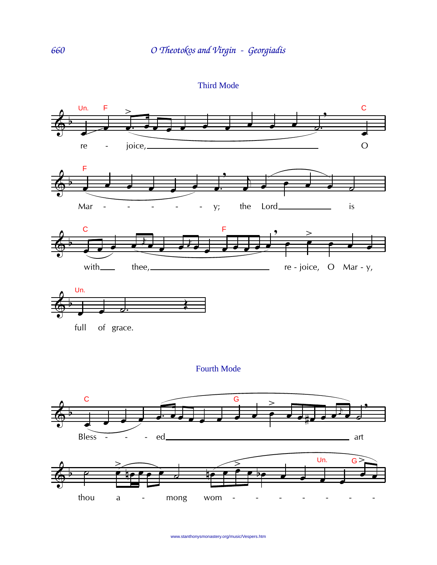Third Mode



thou a - mong wom - - - - - - -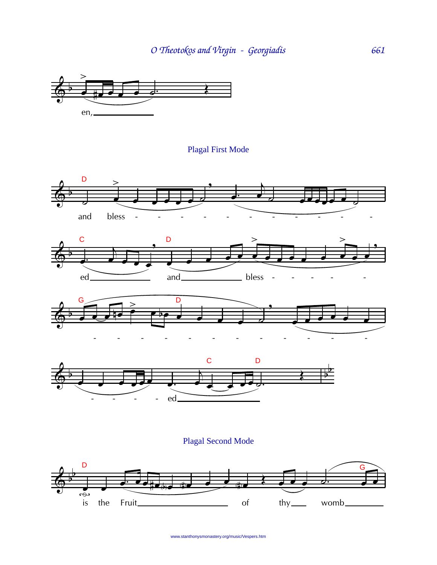

**Plagal First Mode** 









Plagal Second Mode



www.stanthonysmonastery.org/music/Vespers.htm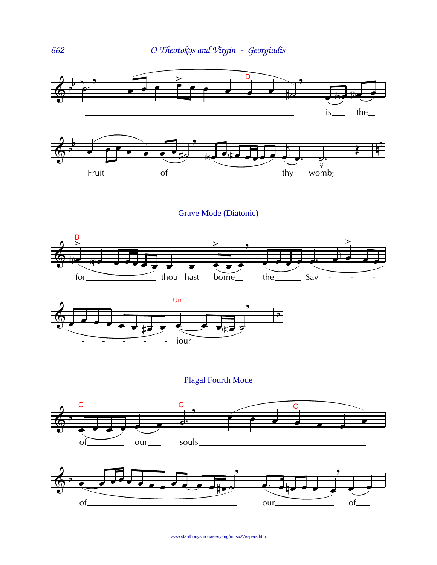

Grave Mode (Diatonic)





**Plagal Fourth Mode** 





www.stanthonysmonastery.org/music/Vespers.htm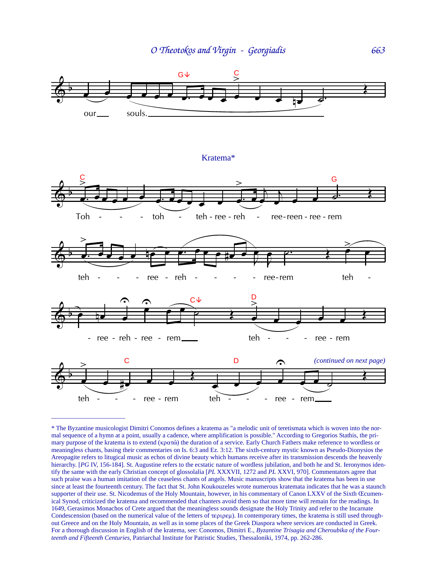

<sup>\*</sup> The Byzantine musicologist Dimitri Conomos defines a kratema as "a melodic unit of teretismata which is woven into the normal sequence of a hymn at a point, usually a cadence, where amplification is possible." According to Gregorios Stathis, the primary purpose of the kratema is to extend ( $\kappa \rho \alpha \tau \hat{\omega}$ ) the duration of a service. Early Church Fathers make reference to wordless or meaningless chants, basing their commentaries on Is. 6:3 and Ez. 3:12. The sixth-century mystic known as Pseudo-Dionysios the Areopagite refers to litugical music as echos of divine beauty which humans receive after its transmission descends the heavenly hierarchy. [PG IV, 156-184]. St. Augustine refers to the ecstatic nature of wordless jubilation, and both he and St. Ieronymos identify the same with the early Christian concept of glossolalia [*PL* XXXVII, 1272 and *PL* XXVI, 970]. Commentators agree that such praise was a human imitation of the ceaseless chants of angels. Music manuscripts show that the kratema has been in use since at least the fourteenth century. The fact that St. John Koukouzeles wrote numerous kratemata indicates that he was a staunch supporter of their use. St. Nicodemus of the Holy Mountain, however, in his commentary of Canon LXXV of the Sixth Œcumenical Synod, criticized the kratema and recommended that chanters avoid them so that more time will remain for the readings. In 1649, Gerasimos Monachos of Crete argued that the meaningless sounds designate the Holy Trinity and refer to the Incarnate Condescension (based on the numerical value of the letters of  $\text{tempex}$ ). In contemporary times, the kratema is still used throughout Greece and on the Holy Mountain, as well as in some places of the Greek Diaspora where services are conducted in Greek. For a thorough discussion in English of the kratema, see: Conomos, Dimitri E., *Byzantine Trisagia and Cheroubika of the Fourteenth and Fifteenth Centuries,* Patriarchal Institute for Patristic Studies, Thessaloniki, 1974, pp. 262-286.